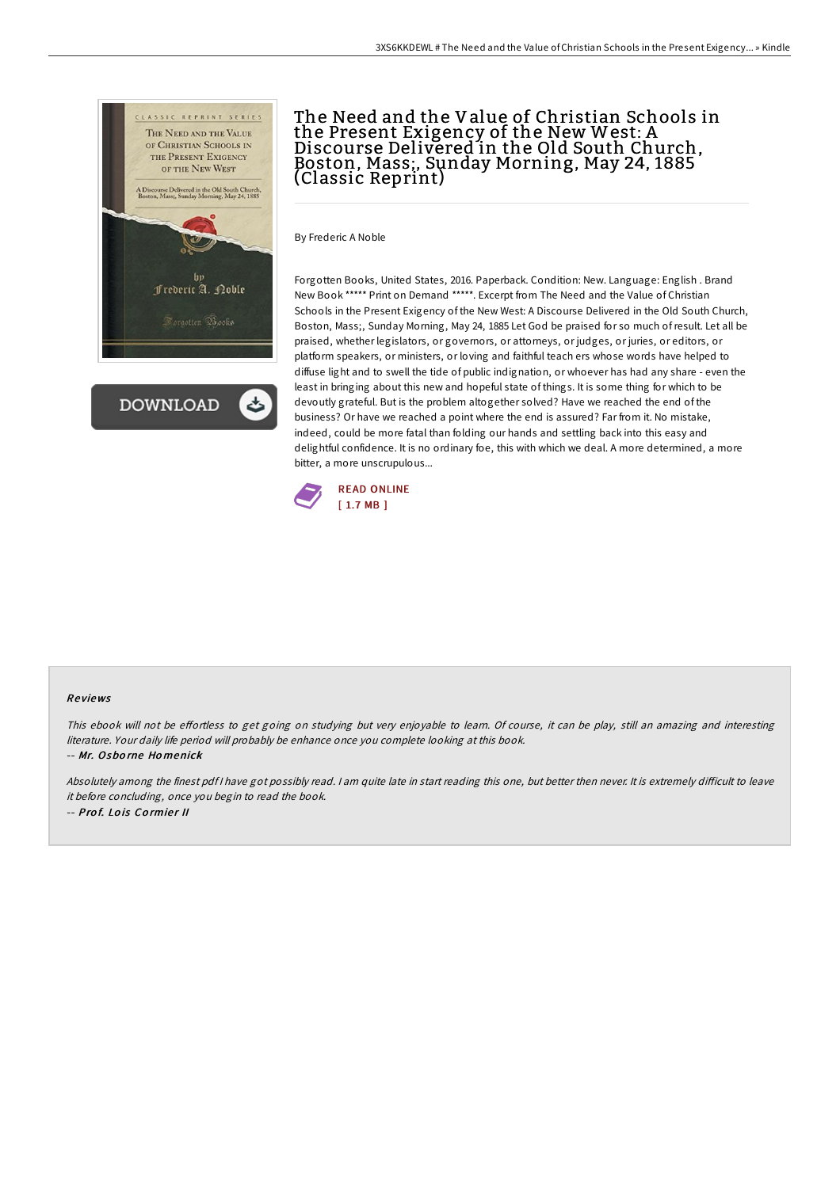

**DOWNLOAD** 

## The Need and the Value of Christian Schools in the Present Exigency of the New West: A Discourse Delivered in the Old South Church, Boston, Mass;, Sunday Morning, May 24, 1885 (Classic Reprint)

By Frederic A Noble

Forgotten Books, United States, 2016. Paperback. Condition: New. Language: English . Brand New Book \*\*\*\*\* Print on Demand \*\*\*\*\*. Excerpt from The Need and the Value of Christian Schools in the Present Exigency of the New West: A Discourse Delivered in the Old South Church, Boston, Mass;, Sunday Morning, May 24, 1885 Let God be praised for so much ofresult. Let all be praised, whether legislators, or governors, or attorneys, or judges, or juries, or editors, or platform speakers, or ministers, or loving and faithful teach ers whose words have helped to diffuse light and to swell the tide of public indignation, or whoever has had any share - even the least in bringing about this new and hopeful state of things. It is some thing for which to be devoutly grateful. But is the problem altogether solved? Have we reached the end of the business? Or have we reached a point where the end is assured? Far from it. No mistake, indeed, could be more fatal than folding our hands and settling back into this easy and delightful confidence. It is no ordinary foe, this with which we deal. A more determined, a more bitter, a more unscrupulous...



## Re views

This ebook will not be effortless to get going on studying but very enjoyable to learn. Of course, it can be play, still an amazing and interesting literature. Your daily life period will probably be enhance once you complete looking at this book. -- Mr. Osbo rne Ho menick

Absolutely among the finest pdf I have got possibly read. I am quite late in start reading this one, but better then never. It is extremely difficult to leave it before concluding, once you begin to read the book. -- Prof. Lois Cormier II